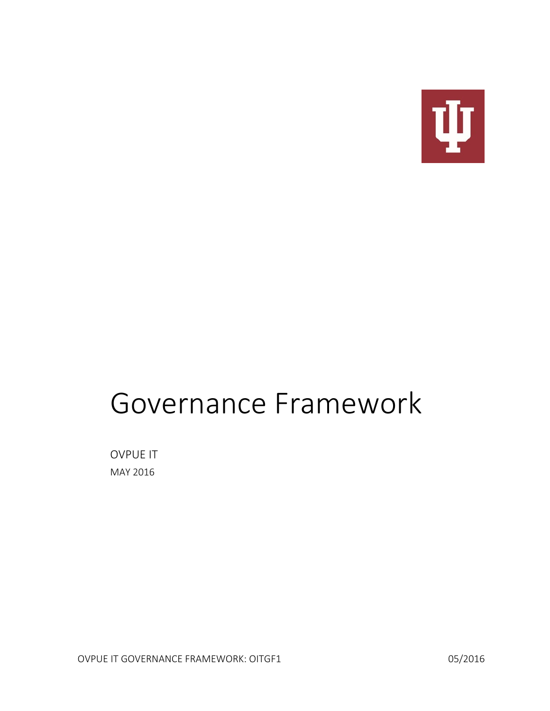

# Governance Framework

OVPUE IT MAY 2016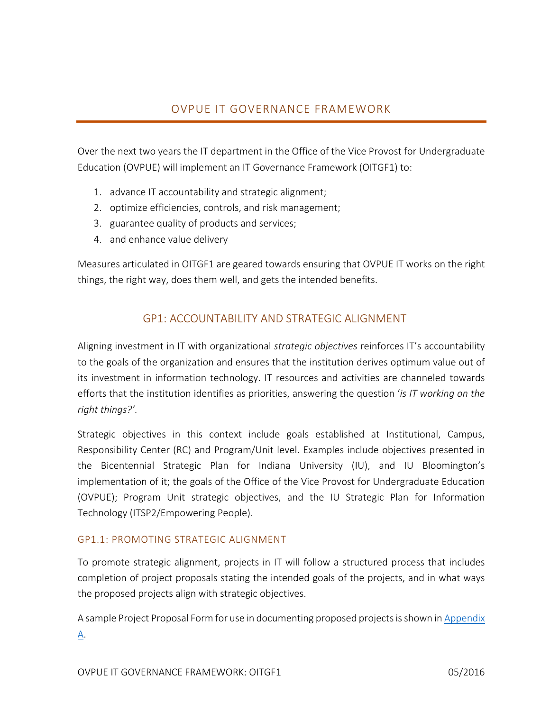## OVPUE IT GOVERNANCE FRAMEWORK

Over the next two years the IT department in the Office of the Vice Provost for Undergraduate Education (OVPUE) will implement an IT Governance Framework (OITGF1) to:

- 1. advance IT accountability and strategic alignment;
- 2. optimize efficiencies, controls, and risk management;
- 3. guarantee quality of products and services;
- 4. and enhance value delivery

Measures articulated in OITGF1 are geared towards ensuring that OVPUE IT works on the right things, the right way, does them well, and gets the intended benefits.

## GP1: ACCOUNTABILITY AND STRATEGIC ALIGNMENT

Aligning investment in IT with organizational *strategic objectives* reinforces IT's accountability to the goals of the organization and ensures that the institution derives optimum value out of its investment in information technology. IT resources and activities are channeled towards efforts that the institution identifies as priorities, answering the question '*is IT working on the right things?'*.

Strategic objectives in this context include goals established at Institutional, Campus, Responsibility Center (RC) and Program/Unit level. Examples include objectives presented in the Bicentennial Strategic Plan for Indiana University (IU), and IU Bloomington's implementation of it; the goals of the Office of the Vice Provost for Undergraduate Education (OVPUE); Program Unit strategic objectives, and the IU Strategic Plan for Information Technology (ITSP2/Empowering People).

#### GP1.1: PROMOTING STRATEGIC ALIGNMENT

To promote strategic alignment, projects in IT will follow a structured process that includes completion of project proposals stating the intended goals of the projects, and in what ways the proposed projects align with strategic objectives.

A sample Project Proposal Form for use in documenting proposed projects is shown in Appendix [A.](#page-7-0)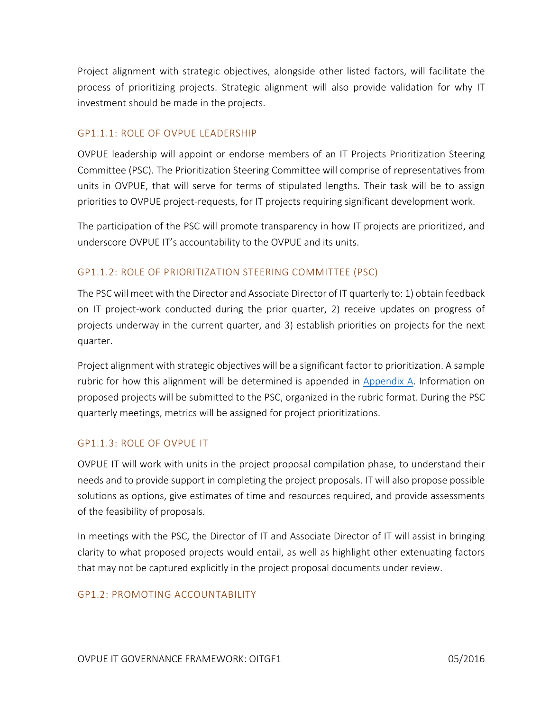Project alignment with strategic objectives, alongside other listed factors, will facilitate the process of prioritizing projects. Strategic alignment will also provide validation for why IT investment should be made in the projects.

#### GP1.1.1: ROLE OF OVPUE LEADERSHIP

OVPUE leadership will appoint or endorse members of an IT Projects Prioritization Steering Committee (PSC). The Prioritization Steering Committee will comprise of representatives from units in OVPUE, that will serve for terms of stipulated lengths. Their task will be to assign priorities to OVPUE project-requests, for IT projects requiring significant development work.

The participation of the PSC will promote transparency in how IT projects are prioritized, and underscore OVPUE IT's accountability to the OVPUE and its units.

#### GP1.1.2: ROLE OF PRIORITIZATION STEERING COMMITTEE (PSC)

The PSC will meet with the Director and Associate Director of IT quarterly to: 1) obtain feedback on IT project-work conducted during the prior quarter, 2) receive updates on progress of projects underway in the current quarter, and 3) establish priorities on projects for the next quarter.

Project alignment with strategic objectives will be a significant factor to prioritization. A sample rubric for how this alignment will be determined is appended in [Appendix A.](#page-7-0) Information on proposed projects will be submitted to the PSC, organized in the rubric format. During the PSC quarterly meetings, metrics will be assigned for project prioritizations.

#### GP1.1.3: ROLE OF OVPUE IT

OVPUE IT will work with units in the project proposal compilation phase, to understand their needs and to provide support in completing the project proposals. IT will also propose possible solutions as options, give estimates of time and resources required, and provide assessments of the feasibility of proposals.

In meetings with the PSC, the Director of IT and Associate Director of IT will assist in bringing clarity to what proposed projects would entail, as well as highlight other extenuating factors that may not be captured explicitly in the project proposal documents under review.

#### GP1.2: PROMOTING ACCOUNTABILITY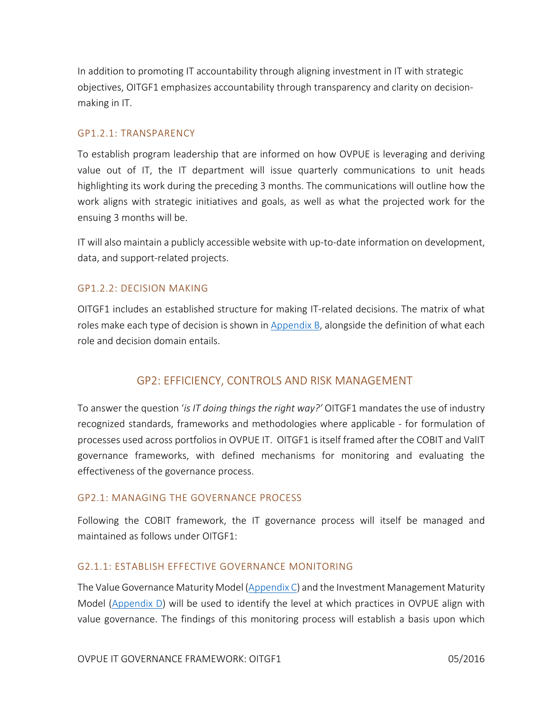In addition to promoting IT accountability through aligning investment in IT with strategic objectives, OITGF1 emphasizes accountability through transparency and clarity on decisionmaking in IT.

#### GP1.2.1: TRANSPARENCY

To establish program leadership that are informed on how OVPUE is leveraging and deriving value out of IT, the IT department will issue quarterly communications to unit heads highlighting its work during the preceding 3 months. The communications will outline how the work aligns with strategic initiatives and goals, as well as what the projected work for the ensuing 3 months will be.

IT will also maintain a publicly accessible website with up-to-date information on development, data, and support-related projects.

#### GP1.2.2: DECISION MAKING

OITGF1 includes an established structure for making IT-related decisions. The matrix of what roles make each type of decision is shown i[n Appendix B,](#page-9-0) alongside the definition of what each role and decision domain entails.

## GP2: EFFICIENCY, CONTROLS AND RISK MANAGEMENT

To answer the question '*is IT doing things the right way?'* OITGF1 mandates the use of industry recognized standards, frameworks and methodologies where applicable - for formulation of processes used across portfolios in OVPUE IT. OITGF1 is itself framed after the COBIT and ValIT governance frameworks, with defined mechanisms for monitoring and evaluating the effectiveness of the governance process.

#### GP2.1: MANAGING THE GOVERNANCE PROCESS

Following the COBIT framework, the IT governance process will itself be managed and maintained as follows under OITGF1:

#### G2.1.1: ESTABLISH EFFECTIVE GOVERNANCE MONITORING

The Value Governance Maturity Model  $(Appendix C)$  and the Investment Management Maturity Model [\(Appendix D\)](#page-11-1) will be used to identify the level at which practices in OVPUE align with value governance. The findings of this monitoring process will establish a basis upon which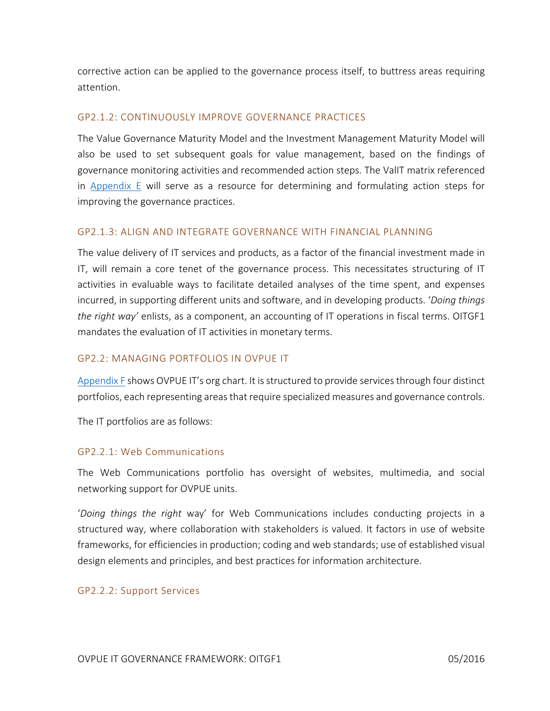corrective action can be applied to the governance process itself, to buttress areas requiring attention.

#### GP2.1.2: CONTINUOUSLY IMPROVE GOVERNANCE PRACTICES

The Value Governance Maturity Model and the Investment Management Maturity Model will also be used to set subsequent goals for value management, based on the findings of governance monitoring activities and recommended action steps. The ValIT matrix referenced in [Appendix E](#page-11-2) will serve as a resource for determining and formulating action steps for improving the governance practices.

#### GP2.1.3: ALIGN AND INTEGRATE GOVERNANCE WITH FINANCIAL PLANNING

The value delivery of IT services and products, as a factor of the financial investment made in IT, will remain a core tenet of the governance process. This necessitates structuring of IT activities in evaluable ways to facilitate detailed analyses of the time spent, and expenses incurred, in supporting different units and software, and in developing products. '*Doing things the right way'* enlists, as a component, an accounting of IT operations in fiscal terms. OITGF1 mandates the evaluation of IT activities in monetary terms.

#### GP2.2: MANAGING PORTFOLIOS IN OVPUE IT

[Appendix F](#page-12-0) shows OVPUE IT's org chart. It is structured to provide services through four distinct portfolios, each representing areas that require specialized measures and governance controls.

The IT portfolios are as follows:

#### GP2.2.1: Web Communications

The Web Communications portfolio has oversight of websites, multimedia, and social networking support for OVPUE units.

'*Doing things the right* way' for Web Communications includes conducting projects in a structured way, where collaboration with stakeholders is valued. It factors in use of website frameworks, for efficiencies in production; coding and web standards; use of established visual design elements and principles, and best practices for information architecture.

#### GP2.2.2: Support Services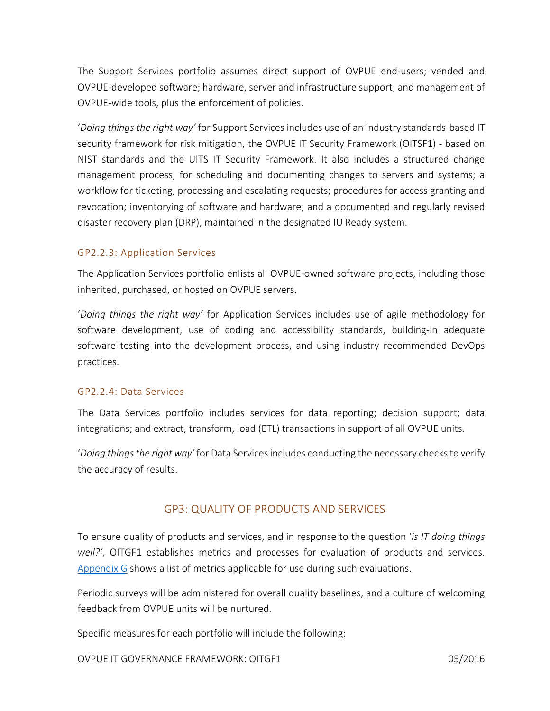The Support Services portfolio assumes direct support of OVPUE end-users; vended and OVPUE-developed software; hardware, server and infrastructure support; and management of OVPUE-wide tools, plus the enforcement of policies.

'*Doing things the right way'* for Support Services includes use of an industry standards-based IT security framework for risk mitigation, the OVPUE IT Security Framework (OITSF1) - based on NIST standards and the UITS IT Security Framework. It also includes a structured change management process, for scheduling and documenting changes to servers and systems; a workflow for ticketing, processing and escalating requests; procedures for access granting and revocation; inventorying of software and hardware; and a documented and regularly revised disaster recovery plan (DRP), maintained in the designated IU Ready system.

#### GP2.2.3: Application Services

The Application Services portfolio enlists all OVPUE-owned software projects, including those inherited, purchased, or hosted on OVPUE servers.

'*Doing things the right way'* for Application Services includes use of agile methodology for software development, use of coding and accessibility standards, building-in adequate software testing into the development process, and using industry recommended DevOps practices.

#### GP2.2.4: Data Services

The Data Services portfolio includes services for data reporting; decision support; data integrations; and extract, transform, load (ETL) transactions in support of all OVPUE units.

'*Doing things the right way'* for Data Services includes conducting the necessary checks to verify the accuracy of results.

## GP3: QUALITY OF PRODUCTS AND SERVICES

To ensure quality of products and services, and in response to the question '*is IT doing things well?'*, OITGF1 establishes metrics and processes for evaluation of products and services. [Appendix G](#page-13-0) shows a list of metrics applicable for use during such evaluations.

Periodic surveys will be administered for overall quality baselines, and a culture of welcoming feedback from OVPUE units will be nurtured.

Specific measures for each portfolio will include the following:

OVPUE IT GOVERNANCE FRAMEWORK: OITGF1 05/2016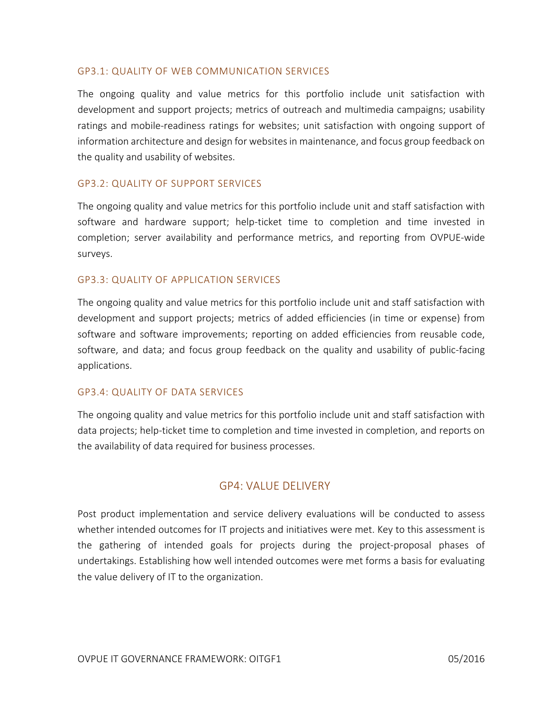#### GP3.1: QUALITY OF WEB COMMUNICATION SERVICES

The ongoing quality and value metrics for this portfolio include unit satisfaction with development and support projects; metrics of outreach and multimedia campaigns; usability ratings and mobile-readiness ratings for websites; unit satisfaction with ongoing support of information architecture and design for websites in maintenance, and focus group feedback on the quality and usability of websites.

#### GP3.2: QUALITY OF SUPPORT SERVICES

The ongoing quality and value metrics for this portfolio include unit and staff satisfaction with software and hardware support; help-ticket time to completion and time invested in completion; server availability and performance metrics, and reporting from OVPUE-wide surveys.

#### GP3.3: QUALITY OF APPLICATION SERVICES

The ongoing quality and value metrics for this portfolio include unit and staff satisfaction with development and support projects; metrics of added efficiencies (in time or expense) from software and software improvements; reporting on added efficiencies from reusable code, software, and data; and focus group feedback on the quality and usability of public-facing applications.

#### GP3.4: QUALITY OF DATA SERVICES

The ongoing quality and value metrics for this portfolio include unit and staff satisfaction with data projects; help-ticket time to completion and time invested in completion, and reports on the availability of data required for business processes.

## GP4: VALUE DELIVERY

Post product implementation and service delivery evaluations will be conducted to assess whether intended outcomes for IT projects and initiatives were met. Key to this assessment is the gathering of intended goals for projects during the project-proposal phases of undertakings. Establishing how well intended outcomes were met forms a basis for evaluating the value delivery of IT to the organization.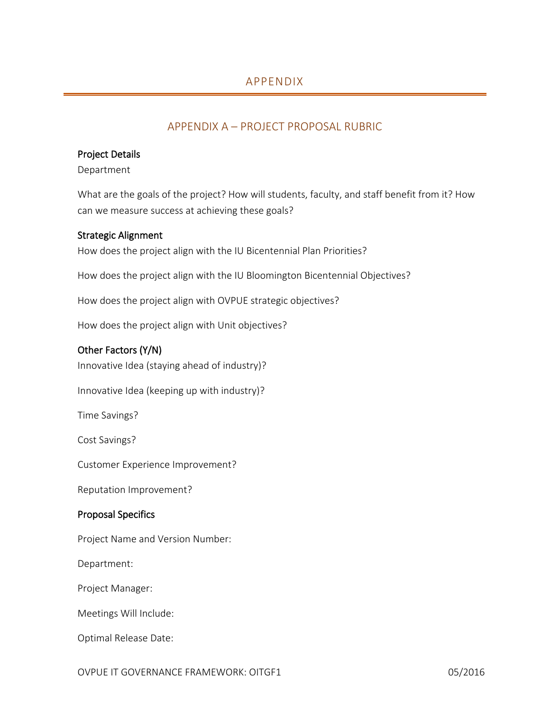## APPENDIX A – PROJECT PROPOSAL RUBRIC

#### <span id="page-7-0"></span>Project Details

Department

What are the goals of the project? How will students, faculty, and staff benefit from it? How can we measure success at achieving these goals?

#### Strategic Alignment

How does the project align with the IU Bicentennial Plan Priorities?

How does the project align with the IU Bloomington Bicentennial Objectives?

How does the project align with OVPUE strategic objectives?

How does the project align with Unit objectives?

#### Other Factors (Y/N)

Innovative Idea (staying ahead of industry)?

Innovative Idea (keeping up with industry)?

Time Savings?

Cost Savings?

Customer Experience Improvement?

Reputation Improvement?

#### Proposal Specifics

Project Name and Version Number:

Department:

Project Manager:

Meetings Will Include:

Optimal Release Date: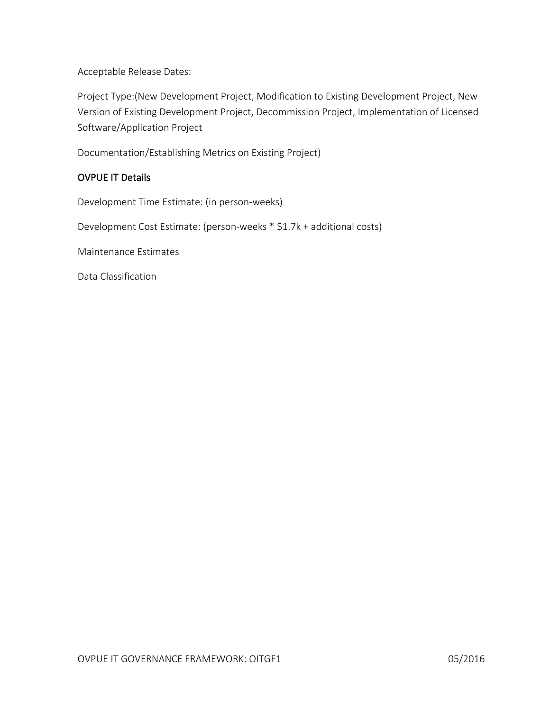Acceptable Release Dates:

Project Type:(New Development Project, Modification to Existing Development Project, New Version of Existing Development Project, Decommission Project, Implementation of Licensed Software/Application Project

Documentation/Establishing Metrics on Existing Project)

#### OVPUE IT Details

Development Time Estimate: (in person-weeks)

Development Cost Estimate: (person-weeks \* \$1.7k + additional costs)

Maintenance Estimates

Data Classification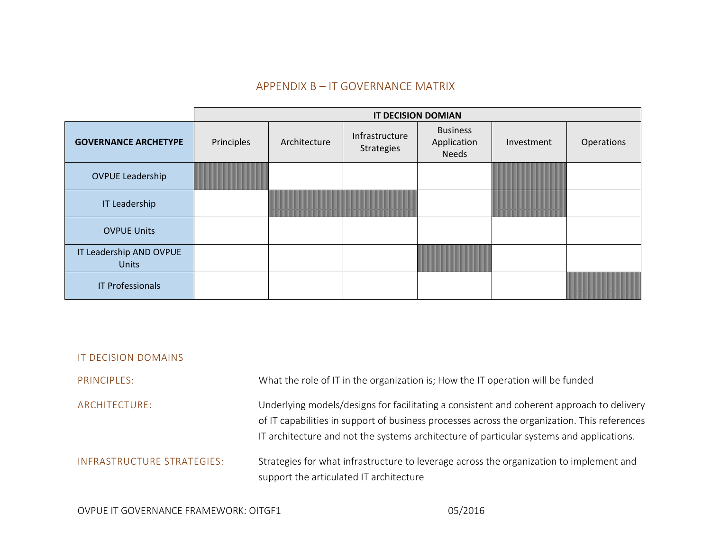## APPENDIX B – IT GOVERNANCE MATRIX

<span id="page-9-0"></span>

|                                         | <b>IT DECISION DOMIAN</b> |              |                                                 |                                                |               |            |
|-----------------------------------------|---------------------------|--------------|-------------------------------------------------|------------------------------------------------|---------------|------------|
| <b>GOVERNANCE ARCHETYPE</b>             | Principles                | Architecture | Infrastructure<br><b>Strategies</b>             | <b>Business</b><br>Application<br><b>Needs</b> | Investment    | Operations |
| <b>OVPUE Leadership</b>                 | <u> Liberatur in d</u>    |              |                                                 |                                                | a kacamatan   |            |
| <b>IT Leadership</b>                    |                           |              | <u> 1999 - Johann Barnett, fransk politiker</u> |                                                | <u> Linda</u> |            |
| <b>OVPUE Units</b>                      |                           |              |                                                 |                                                |               |            |
| IT Leadership AND OVPUE<br><b>Units</b> |                           |              |                                                 | $\sqrt{2}$                                     |               |            |
| <b>IT Professionals</b>                 |                           |              |                                                 |                                                |               |            |

| IT DECISION DOMAINS        |                                                                                                                                                                                                                                                                                       |
|----------------------------|---------------------------------------------------------------------------------------------------------------------------------------------------------------------------------------------------------------------------------------------------------------------------------------|
| PRINCIPLES:                | What the role of IT in the organization is; How the IT operation will be funded                                                                                                                                                                                                       |
| ARCHITECTURE:              | Underlying models/designs for facilitating a consistent and coherent approach to delivery<br>of IT capabilities in support of business processes across the organization. This references<br>IT architecture and not the systems architecture of particular systems and applications. |
| INFRASTRUCTURE STRATEGIES: | Strategies for what infrastructure to leverage across the organization to implement and<br>support the articulated IT architecture                                                                                                                                                    |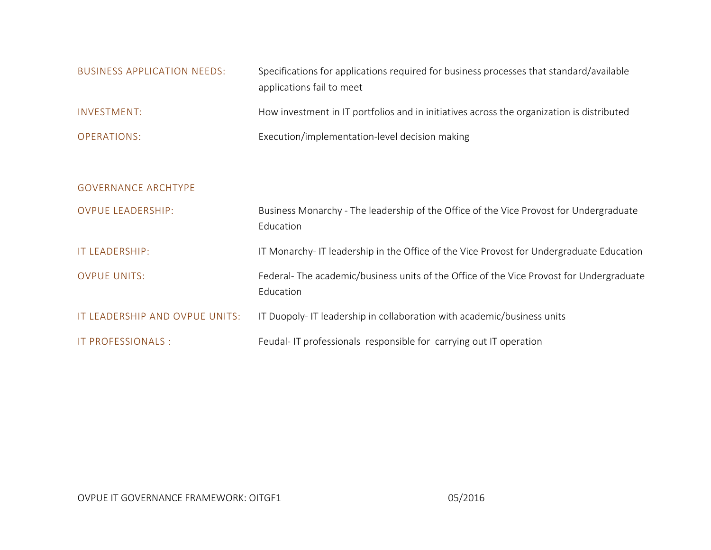| BUSINESS APPLICATION NEEDS: | Specifications for applications required for business processes that standard/available<br>applications fail to meet |
|-----------------------------|----------------------------------------------------------------------------------------------------------------------|
| INVESTMENT:                 | How investment in IT portfolios and in initiatives across the organization is distributed                            |
| OPERATIONS:                 | Execution/implementation-level decision making                                                                       |

| <b>GOVERNANCE ARCHTYPE</b>     |                                                                                                      |
|--------------------------------|------------------------------------------------------------------------------------------------------|
| <b>OVPUE LEADERSHIP:</b>       | Business Monarchy - The leadership of the Office of the Vice Provost for Undergraduate<br>Education  |
| <b>IT LEADERSHIP:</b>          | IT Monarchy-IT leadership in the Office of the Vice Provost for Undergraduate Education              |
| <b>OVPUE UNITS:</b>            | Federal-The academic/business units of the Office of the Vice Provost for Undergraduate<br>Education |
| IT LEADERSHIP AND OVPUE UNITS: | IT Duopoly-IT leadership in collaboration with academic/business units                               |
| IT PROFESSIONALS :             | Feudal-IT professionals responsible for carrying out IT operation                                    |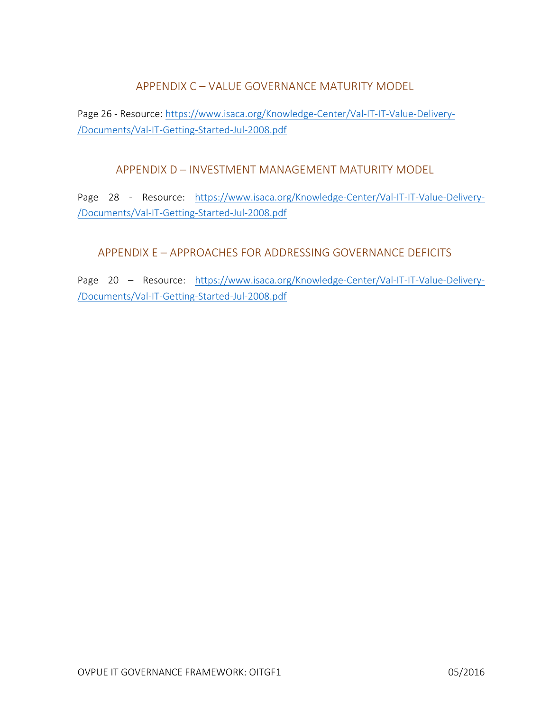APPENDIX C – VALUE GOVERNANCE MATURITY MODEL

<span id="page-11-1"></span><span id="page-11-0"></span>Page 26 - Resource: [https://www.isaca.org/Knowledge-Center/Val-IT-IT-Value-Delivery-](https://www.isaca.org/Knowledge-Center/Val-IT-IT-Value-Delivery-/Documents/Val-IT-Getting-Started-Jul-2008.pdf) [/Documents/Val-IT-Getting-Started-Jul-2008.pdf](https://www.isaca.org/Knowledge-Center/Val-IT-IT-Value-Delivery-/Documents/Val-IT-Getting-Started-Jul-2008.pdf) 

APPENDIX D – INVESTMENT MANAGEMENT MATURITY MODEL

Page 28 - Resource: [https://www.isaca.org/Knowledge-Center/Val-IT-IT-Value-Delivery-](https://www.isaca.org/Knowledge-Center/Val-IT-IT-Value-Delivery-/Documents/Val-IT-Getting-Started-Jul-2008.pdf) [/Documents/Val-IT-Getting-Started-Jul-2008.pdf](https://www.isaca.org/Knowledge-Center/Val-IT-IT-Value-Delivery-/Documents/Val-IT-Getting-Started-Jul-2008.pdf) 

<span id="page-11-2"></span>APPENDIX E – APPROACHES FOR ADDRESSING GOVERNANCE DEFICITS

Page 20 – Resource: [https://www.isaca.org/Knowledge-Center/Val-IT-IT-Value-Delivery-](https://www.isaca.org/Knowledge-Center/Val-IT-IT-Value-Delivery-/Documents/Val-IT-Getting-Started-Jul-2008.pdf) [/Documents/Val-IT-Getting-Started-Jul-2008.pdf](https://www.isaca.org/Knowledge-Center/Val-IT-IT-Value-Delivery-/Documents/Val-IT-Getting-Started-Jul-2008.pdf)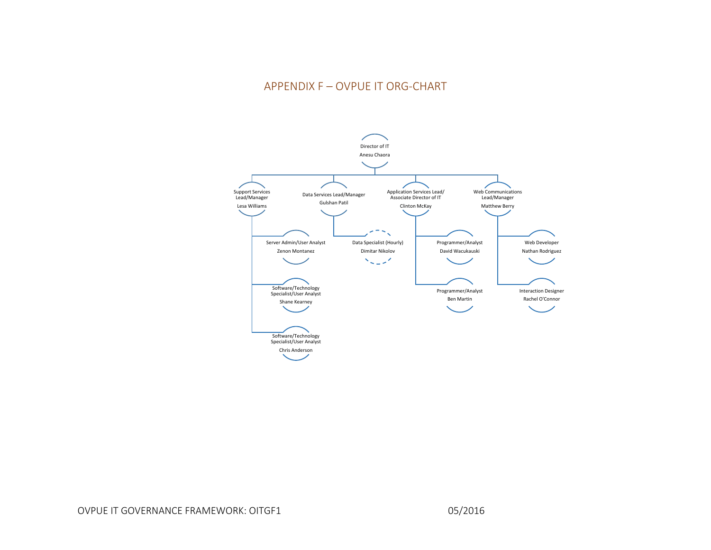## APPENDIX F – OVPUE IT ORG-CHART

<span id="page-12-0"></span>